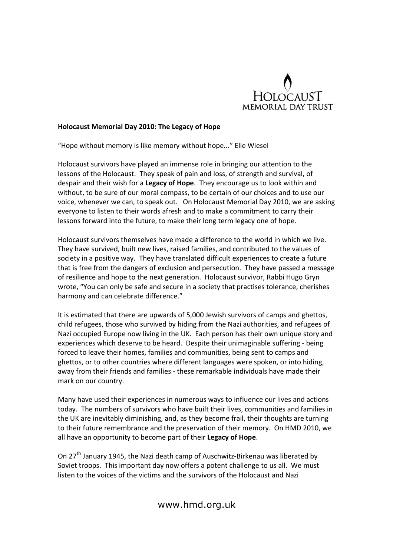

## Holocaust Memorial Day 2010: The Legacy of Hope

"Hope without memory is like memory without hope..." Elie Wiesel

Holocaust survivors have played an immense role in bringing our attention to the lessons of the Holocaust. They speak of pain and loss, of strength and survival, of despair and their wish for a Legacy of Hope. They encourage us to look within and without, to be sure of our moral compass, to be certain of our choices and to use our voice, whenever we can, to speak out. On Holocaust Memorial Day 2010, we are asking everyone to listen to their words afresh and to make a commitment to carry their lessons forward into the future, to make their long term legacy one of hope.

Holocaust survivors themselves have made a difference to the world in which we live. They have survived, built new lives, raised families, and contributed to the values of society in a positive way. They have translated difficult experiences to create a future that is free from the dangers of exclusion and persecution. They have passed a message of resilience and hope to the next generation. Holocaust survivor, Rabbi Hugo Gryn wrote, "You can only be safe and secure in a society that practises tolerance, cherishes harmony and can celebrate difference."

It is estimated that there are upwards of 5,000 Jewish survivors of camps and ghettos, child refugees, those who survived by hiding from the Nazi authorities, and refugees of Nazi occupied Europe now living in the UK. Each person has their own unique story and experiences which deserve to be heard. Despite their unimaginable suffering - being forced to leave their homes, families and communities, being sent to camps and ghettos, or to other countries where different languages were spoken, or into hiding, away from their friends and families - these remarkable individuals have made their mark on our country.

Many have used their experiences in numerous ways to influence our lives and actions today. The numbers of survivors who have built their lives, communities and families in the UK are inevitably diminishing, and, as they become frail, their thoughts are turning to their future remembrance and the preservation of their memory. On HMD 2010, we all have an opportunity to become part of their Legacy of Hope.

On 27<sup>th</sup> January 1945, the Nazi death camp of Auschwitz-Birkenau was liberated by Soviet troops. This important day now offers a potent challenge to us all. We must listen to the voices of the victims and the survivors of the Holocaust and Nazi

www.hmd.org.uk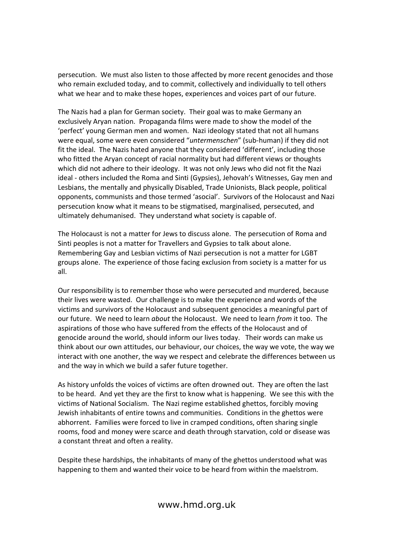persecution. We must also listen to those affected by more recent genocides and those who remain excluded today, and to commit, collectively and individually to tell others what we hear and to make these hopes, experiences and voices part of our future.

The Nazis had a plan for German society. Their goal was to make Germany an exclusively Aryan nation. Propaganda films were made to show the model of the 'perfect' young German men and women. Nazi ideology stated that not all humans were equal, some were even considered "untermenschen" (sub-human) if they did not fit the ideal. The Nazis hated anyone that they considered 'different', including those who fitted the Aryan concept of racial normality but had different views or thoughts which did not adhere to their ideology. It was not only Jews who did not fit the Nazi ideal - others included the Roma and Sinti (Gypsies), Jehovah's Witnesses, Gay men and Lesbians, the mentally and physically Disabled, Trade Unionists, Black people, political opponents, communists and those termed 'asocial'. Survivors of the Holocaust and Nazi persecution know what it means to be stigmatised, marginalised, persecuted, and ultimately dehumanised. They understand what society is capable of.

The Holocaust is not a matter for Jews to discuss alone. The persecution of Roma and Sinti peoples is not a matter for Travellers and Gypsies to talk about alone. Remembering Gay and Lesbian victims of Nazi persecution is not a matter for LGBT groups alone. The experience of those facing exclusion from society is a matter for us all.

Our responsibility is to remember those who were persecuted and murdered, because their lives were wasted. Our challenge is to make the experience and words of the victims and survivors of the Holocaust and subsequent genocides a meaningful part of our future. We need to learn about the Holocaust. We need to learn from it too. The aspirations of those who have suffered from the effects of the Holocaust and of genocide around the world, should inform our lives today. Their words can make us think about our own attitudes, our behaviour, our choices, the way we vote, the way we interact with one another, the way we respect and celebrate the differences between us and the way in which we build a safer future together.

As history unfolds the voices of victims are often drowned out. They are often the last to be heard. And yet they are the first to know what is happening. We see this with the victims of National Socialism. The Nazi regime established ghettos, forcibly moving Jewish inhabitants of entire towns and communities. Conditions in the ghettos were abhorrent. Families were forced to live in cramped conditions, often sharing single rooms, food and money were scarce and death through starvation, cold or disease was a constant threat and often a reality.

Despite these hardships, the inhabitants of many of the ghettos understood what was happening to them and wanted their voice to be heard from within the maelstrom.

www.hmd.org.uk